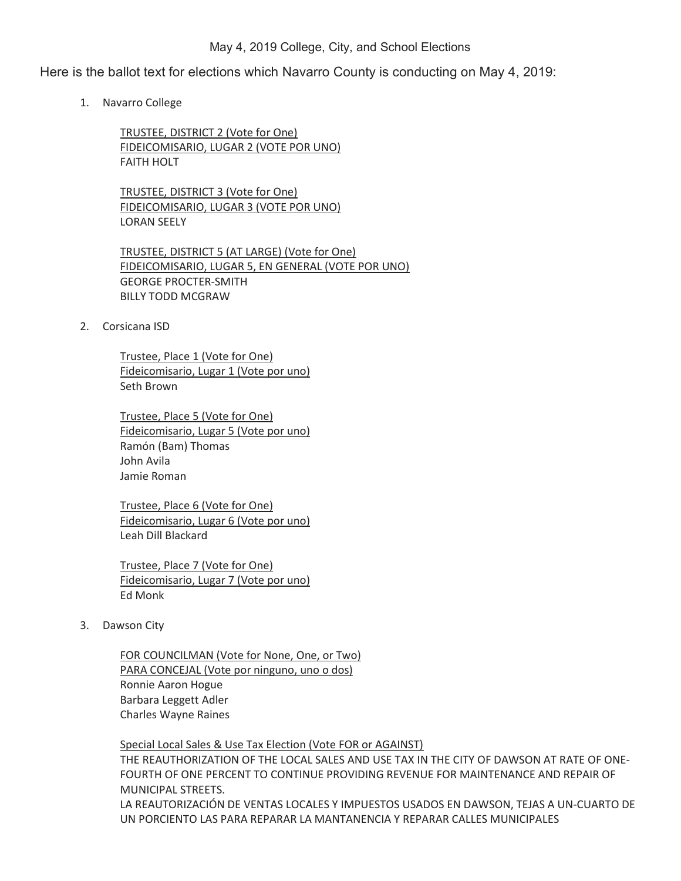## May 4, 2019 College, City, and School Elections

Here is the ballot text for elections which Navarro County is conducting on May 4, 2019:

1. Navarro College

TRUSTEE, DISTRICT 2 (Vote for One) FIDEICOMISARIO, LUGAR 2 (VOTE POR UNO) FAITH HOLT

TRUSTEE, DISTRICT 3 (Vote for One) FIDEICOMISARIO, LUGAR 3 (VOTE POR UNO) LORAN SEELY

TRUSTEE, DISTRICT 5 (AT LARGE) (Vote for One) FIDEICOMISARIO, LUGAR 5, EN GENERAL (VOTE POR UNO) GEORGE PROCTER-SMITH BILLY TODD MCGRAW

2. Corsicana ISD

 Trustee, Place 1 (Vote for One) Fideicomisario, Lugar 1 (Vote por uno) Seth Brown

 Trustee, Place 5 (Vote for One) Fideicomisario, Lugar 5 (Vote por uno) Ramón (Bam) Thomas John Avila Jamie Roman

 Trustee, Place 6 (Vote for One) Fideicomisario, Lugar 6 (Vote por uno) Leah Dill Blackard

 Trustee, Place 7 (Vote for One) Fideicomisario, Lugar 7 (Vote por uno) Ed Monk

3. Dawson City

FOR COUNCILMAN (Vote for None, One, or Two) PARA CONCEJAL (Vote por ninguno, uno o dos) Ronnie Aaron Hogue Barbara Leggett Adler Charles Wayne Raines

## Special Local Sales & Use Tax Election (Vote FOR or AGAINST)

THE REAUTHORIZATION OF THE LOCAL SALES AND USE TAX IN THE CITY OF DAWSON AT RATE OF ONE-FOURTH OF ONE PERCENT TO CONTINUE PROVIDING REVENUE FOR MAINTENANCE AND REPAIR OF MUNICIPAL STREETS.

LA REAUTORIZACIÓN DE VENTAS LOCALES Y IMPUESTOS USADOS EN DAWSON, TEJAS A UN-CUARTO DE UN PORCIENTO LAS PARA REPARAR LA MANTANENCIA Y REPARAR CALLES MUNICIPALES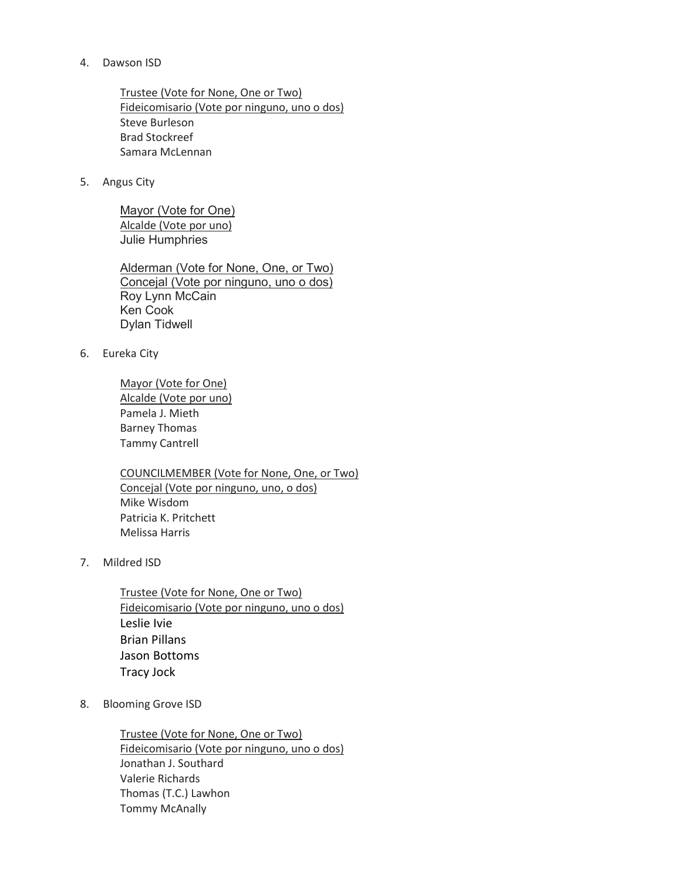## 4. Dawson ISD

Trustee (Vote for None, One or Two) Fideicomisario (Vote por ninguno, uno o dos) Steve Burleson Brad Stockreef Samara McLennan

5. Angus City

Mayor (Vote for One) Alcalde (Vote por uno) Julie Humphries

Alderman (Vote for None, One, or Two) Concejal (Vote por ninguno, uno o dos) Roy Lynn McCain Ken Cook Dylan Tidwell

6. Eureka City

 Mayor (Vote for One) Alcalde (Vote por uno) Pamela J. Mieth Barney Thomas Tammy Cantrell

 COUNCILMEMBER (Vote for None, One, or Two) Concejal (Vote por ninguno, uno, o dos) Mike Wisdom Patricia K. Pritchett Melissa Harris

7. Mildred ISD

Trustee (Vote for None, One or Two) Fideicomisario (Vote por ninguno, uno o dos) Leslie Ivie Brian Pillans Jason Bottoms Tracy Jock

8. Blooming Grove ISD

 Trustee (Vote for None, One or Two) Fideicomisario (Vote por ninguno, uno o dos) Jonathan J. Southard Valerie Richards Thomas (T.C.) Lawhon Tommy McAnally